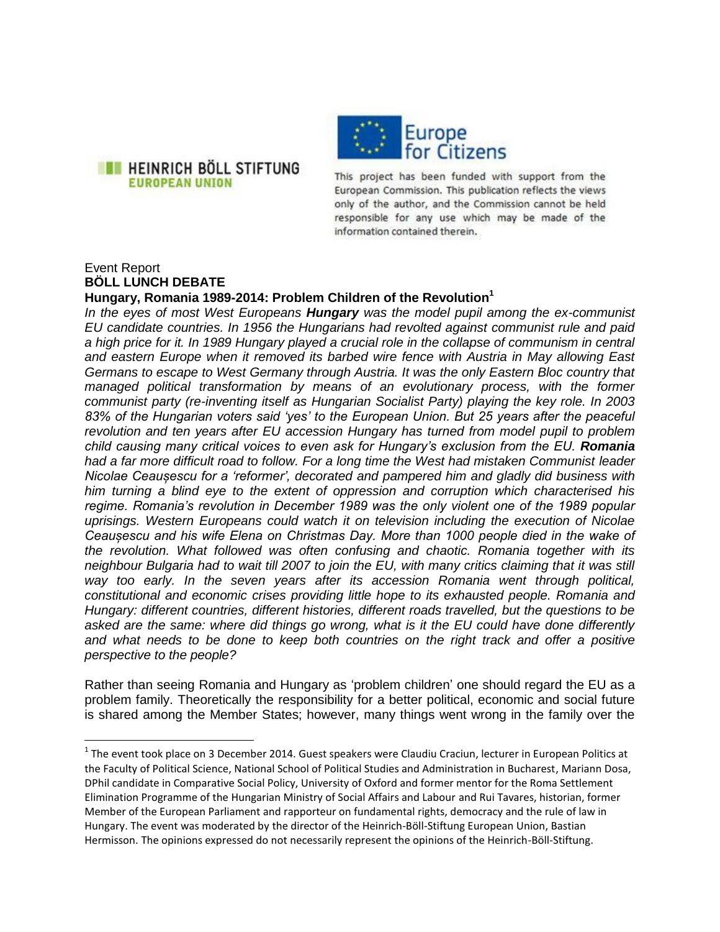



This project has been funded with support from the European Commission. This publication reflects the views only of the author, and the Commission cannot be held responsible for any use which may be made of the information contained therein.

# Event Report **BÖLL LUNCH DEBATE**

 $\overline{\phantom{a}}$ 

## **Hungary, Romania 1989-2014: Problem Children of the Revolution<sup>1</sup>**

*In the eyes of most West Europeans Hungary was the model pupil among the ex-communist EU candidate countries. In 1956 the Hungarians had revolted against communist rule and paid a high price for it. In 1989 Hungary played a crucial role in the collapse of communism in central and eastern Europe when it removed its barbed wire fence with Austria in May allowing East Germans to escape to West Germany through Austria. It was the only Eastern Bloc country that managed political transformation by means of an evolutionary process, with the former communist party (re-inventing itself as Hungarian Socialist Party) playing the key role. In 2003 83% of the Hungarian voters said 'yes' to the European Union. But 25 years after the peaceful revolution and ten years after EU accession Hungary has turned from model pupil to problem child causing many critical voices to even ask for Hungary's exclusion from the EU. Romania had a far more difficult road to follow. For a long time the West had mistaken Communist leader Nicolae Ceaușescu for a 'reformer', decorated and pampered him and gladly did business with him turning a blind eye to the extent of oppression and corruption which characterised his regime. Romania's revolution in December 1989 was the only violent one of the 1989 popular uprisings. Western Europeans could watch it on television including the execution of Nicolae Ceaușescu and his wife Elena on Christmas Day. More than 1000 people died in the wake of the revolution. What followed was often confusing and chaotic. Romania together with its neighbour Bulgaria had to wait till 2007 to join the EU, with many critics claiming that it was still way too early. In the seven years after its accession Romania went through political, constitutional and economic crises providing little hope to its exhausted people. Romania and Hungary: different countries, different histories, different roads travelled, but the questions to be asked are the same: where did things go wrong, what is it the EU could have done differently and what needs to be done to keep both countries on the right track and offer a positive perspective to the people?*

Rather than seeing Romania and Hungary as 'problem children' one should regard the EU as a problem family. Theoretically the responsibility for a better political, economic and social future is shared among the Member States; however, many things went wrong in the family over the

 $1$ The event took place on 3 December 2014. Guest speakers were Claudiu Craciun, lecturer in European Politics at the Faculty of Political Science, National School of Political Studies and Administration in Bucharest, Mariann Dosa, DPhil candidate in Comparative Social Policy, University of Oxford and former mentor for the Roma Settlement Elimination Programme of the Hungarian Ministry of Social Affairs and Labour and Rui Tavares, historian, former Member of the European Parliament and rapporteur on fundamental rights, democracy and the rule of law in Hungary. The event was moderated by the director of the Heinrich-Böll-Stiftung European Union, Bastian Hermisson. The opinions expressed do not necessarily represent the opinions of the Heinrich-Böll-Stiftung.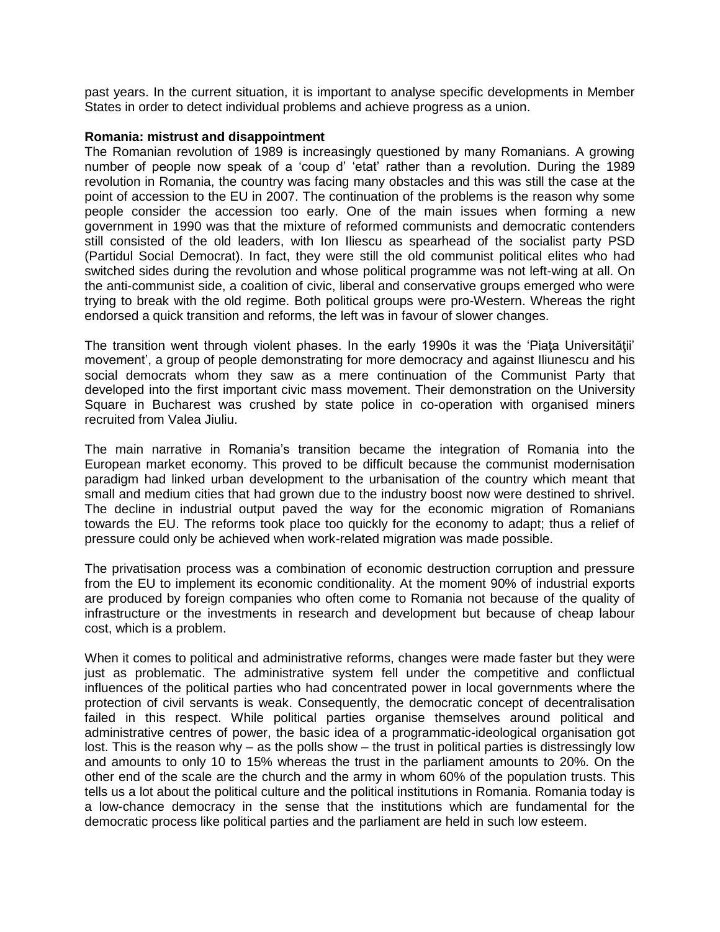past years. In the current situation, it is important to analyse specific developments in Member States in order to detect individual problems and achieve progress as a union.

#### **Romania: mistrust and disappointment**

The Romanian revolution of 1989 is increasingly questioned by many Romanians. A growing number of people now speak of a 'coup d' 'etat' rather than a revolution. During the 1989 revolution in Romania, the country was facing many obstacles and this was still the case at the point of accession to the EU in 2007. The continuation of the problems is the reason why some people consider the accession too early. One of the main issues when forming a new government in 1990 was that the mixture of reformed communists and democratic contenders still consisted of the old leaders, with Ion Iliescu as spearhead of the socialist party [PSD](https://de.wikipedia.org/wiki/Partidul_Social_Democrat) (Partidul Social Democrat). In fact, they were still the old communist political elites who had switched sides during the revolution and whose political programme was not left-wing at all. On the anti-communist side, a coalition of civic, liberal and conservative groups emerged who were trying to break with the old regime. Both political groups were pro-Western. Whereas the right endorsed a quick transition and reforms, the left was in favour of slower changes.

The transition went through violent phases. In the early 1990s it was the 'Piata Universității' movement', a group of people demonstrating for more democracy and against Iliunescu and his social democrats whom they saw as a mere continuation of the Communist Party that developed into the first important civic mass movement. Their demonstration on the University Square in Bucharest was crushed by state police in co-operation with organised miners recruited from Valea Jiuliu.

The main narrative in Romania's transition became the integration of Romania into the European market economy. This proved to be difficult because the communist modernisation paradigm had linked urban development to the urbanisation of the country which meant that small and medium cities that had grown due to the industry boost now were destined to shrivel. The decline in industrial output paved the way for the economic migration of Romanians towards the EU. The reforms took place too quickly for the economy to adapt; thus a relief of pressure could only be achieved when work-related migration was made possible.

The privatisation process was a combination of economic destruction corruption and pressure from the EU to implement its economic conditionality. At the moment 90% of industrial exports are produced by foreign companies who often come to Romania not because of the quality of infrastructure or the investments in research and development but because of cheap labour cost, which is a problem.

When it comes to political and administrative reforms, changes were made faster but they were just as problematic. The administrative system fell under the competitive and conflictual influences of the political parties who had concentrated power in local governments where the protection of civil servants is weak. Consequently, the democratic concept of decentralisation failed in this respect. While political parties organise themselves around political and administrative centres of power, the basic idea of a programmatic-ideological organisation got lost. This is the reason why – as the polls show – the trust in political parties is distressingly low and amounts to only 10 to 15% whereas the trust in the parliament amounts to 20%. On the other end of the scale are the church and the army in whom 60% of the population trusts. This tells us a lot about the political culture and the political institutions in Romania. Romania today is a low-chance democracy in the sense that the institutions which are fundamental for the democratic process like political parties and the parliament are held in such low esteem.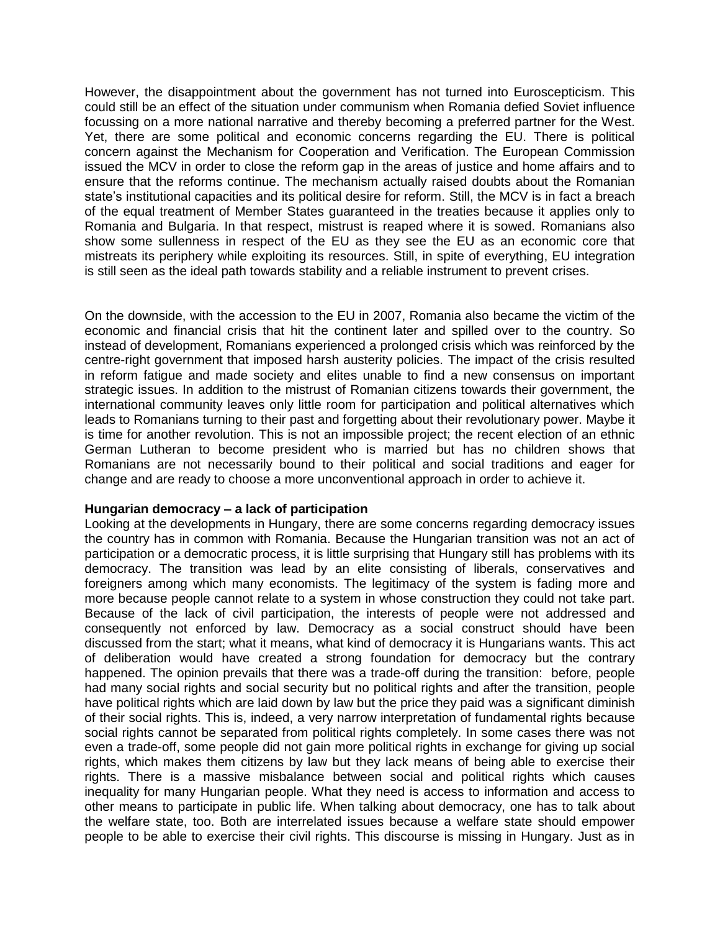However, the disappointment about the government has not turned into Euroscepticism. This could still be an effect of the situation under communism when Romania defied Soviet influence focussing on a more national narrative and thereby becoming a preferred partner for the West. Yet, there are some political and economic concerns regarding the EU. There is political concern against the Mechanism for Cooperation and Verification. The European Commission issued the MCV in order to close the reform gap in the areas of justice and home affairs and to ensure that the reforms continue. The mechanism actually raised doubts about the Romanian state's institutional capacities and its political desire for reform. Still, the MCV is in fact a breach of the equal treatment of Member States guaranteed in the treaties because it applies only to Romania and Bulgaria. In that respect, mistrust is reaped where it is sowed. Romanians also show some sullenness in respect of the EU as they see the EU as an economic core that mistreats its periphery while exploiting its resources. Still, in spite of everything, EU integration is still seen as the ideal path towards stability and a reliable instrument to prevent crises.

On the downside, with the accession to the EU in 2007, Romania also became the victim of the economic and financial crisis that hit the continent later and spilled over to the country. So instead of development, Romanians experienced a prolonged crisis which was reinforced by the centre-right government that imposed harsh austerity policies. The impact of the crisis resulted in reform fatigue and made society and elites unable to find a new consensus on important strategic issues. In addition to the mistrust of Romanian citizens towards their government, the international community leaves only little room for participation and political alternatives which leads to Romanians turning to their past and forgetting about their revolutionary power. Maybe it is time for another revolution. This is not an impossible project; the recent election of an ethnic German Lutheran to become president who is married but has no children shows that Romanians are not necessarily bound to their political and social traditions and eager for change and are ready to choose a more unconventional approach in order to achieve it.

## **Hungarian democracy – a lack of participation**

Looking at the developments in Hungary, there are some concerns regarding democracy issues the country has in common with Romania. Because the Hungarian transition was not an act of participation or a democratic process, it is little surprising that Hungary still has problems with its democracy. The transition was lead by an elite consisting of liberals, conservatives and foreigners among which many economists. The legitimacy of the system is fading more and more because people cannot relate to a system in whose construction they could not take part. Because of the lack of civil participation, the interests of people were not addressed and consequently not enforced by law. Democracy as a social construct should have been discussed from the start; what it means, what kind of democracy it is Hungarians wants. This act of deliberation would have created a strong foundation for democracy but the contrary happened. The opinion prevails that there was a trade-off during the transition: before, people had many social rights and social security but no political rights and after the transition, people have political rights which are laid down by law but the price they paid was a significant diminish of their social rights. This is, indeed, a very narrow interpretation of fundamental rights because social rights cannot be separated from political rights completely. In some cases there was not even a trade-off, some people did not gain more political rights in exchange for giving up social rights, which makes them citizens by law but they lack means of being able to exercise their rights. There is a massive misbalance between social and political rights which causes inequality for many Hungarian people. What they need is access to information and access to other means to participate in public life. When talking about democracy, one has to talk about the welfare state, too. Both are interrelated issues because a welfare state should empower people to be able to exercise their civil rights. This discourse is missing in Hungary. Just as in